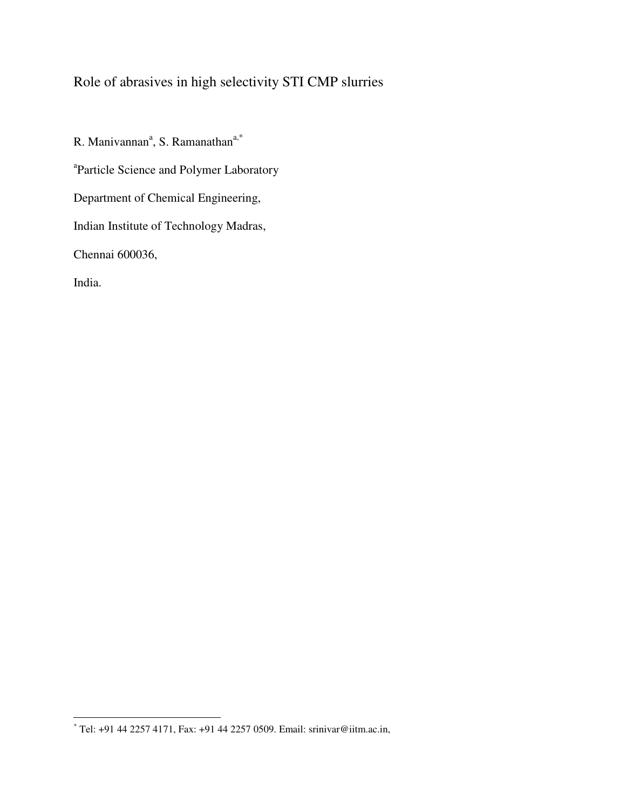# Role of abrasives in high selectivity STI CMP slurries

R. Manivannan<sup>a</sup>, S. Ramanathan<sup>a,\*</sup> <sup>a</sup>Particle Science and Polymer Laboratory Department of Chemical Engineering, Indian Institute of Technology Madras, Chennai 600036, India.

 \* Tel: +91 44 2257 4171, Fax: +91 44 2257 0509. Email: srinivar@iitm.ac.in,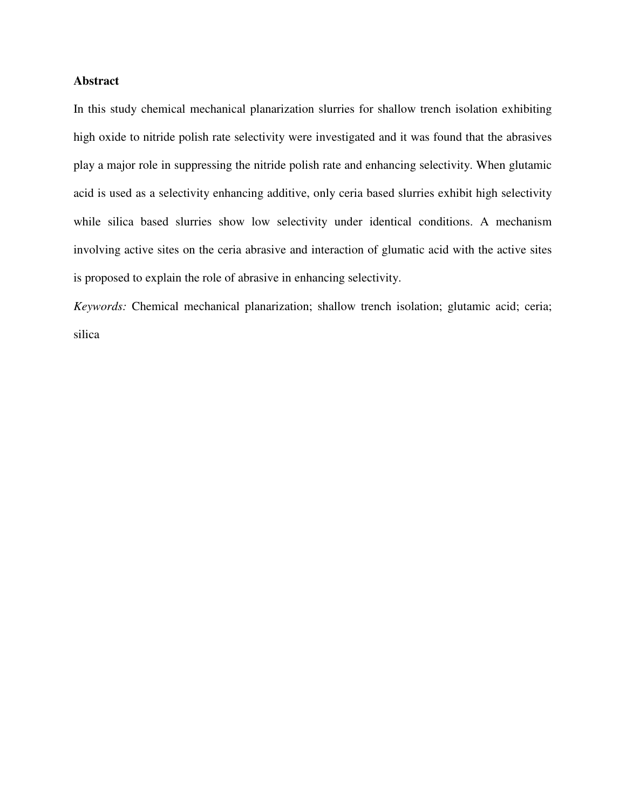## **Abstract**

In this study chemical mechanical planarization slurries for shallow trench isolation exhibiting high oxide to nitride polish rate selectivity were investigated and it was found that the abrasives play a major role in suppressing the nitride polish rate and enhancing selectivity. When glutamic acid is used as a selectivity enhancing additive, only ceria based slurries exhibit high selectivity while silica based slurries show low selectivity under identical conditions. A mechanism involving active sites on the ceria abrasive and interaction of glumatic acid with the active sites is proposed to explain the role of abrasive in enhancing selectivity.

*Keywords:* Chemical mechanical planarization; shallow trench isolation; glutamic acid; ceria; silica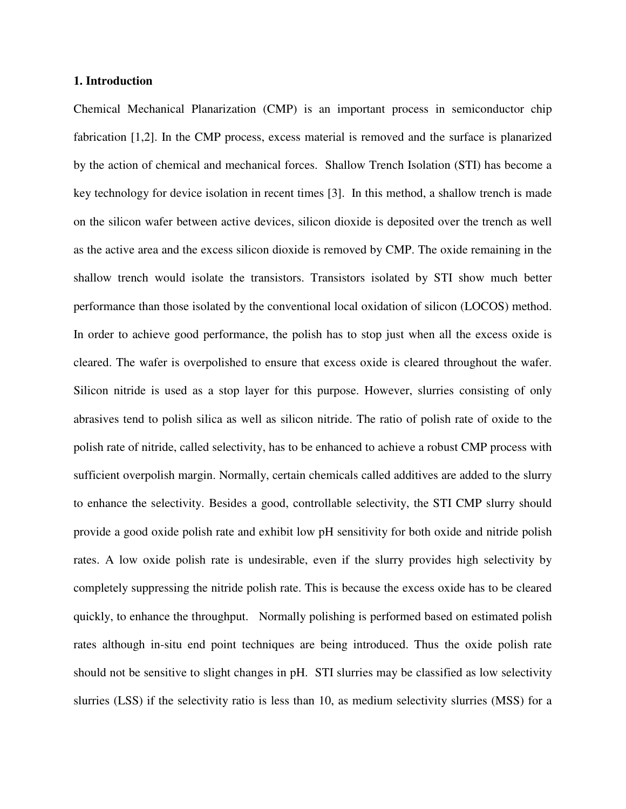#### **1. Introduction**

Chemical Mechanical Planarization (CMP) is an important process in semiconductor chip fabrication [1,2]. In the CMP process, excess material is removed and the surface is planarized by the action of chemical and mechanical forces. Shallow Trench Isolation (STI) has become a key technology for device isolation in recent times [3]. In this method, a shallow trench is made on the silicon wafer between active devices, silicon dioxide is deposited over the trench as well as the active area and the excess silicon dioxide is removed by CMP. The oxide remaining in the shallow trench would isolate the transistors. Transistors isolated by STI show much better performance than those isolated by the conventional local oxidation of silicon (LOCOS) method. In order to achieve good performance, the polish has to stop just when all the excess oxide is cleared. The wafer is overpolished to ensure that excess oxide is cleared throughout the wafer. Silicon nitride is used as a stop layer for this purpose. However, slurries consisting of only abrasives tend to polish silica as well as silicon nitride. The ratio of polish rate of oxide to the polish rate of nitride, called selectivity, has to be enhanced to achieve a robust CMP process with sufficient overpolish margin. Normally, certain chemicals called additives are added to the slurry to enhance the selectivity. Besides a good, controllable selectivity, the STI CMP slurry should provide a good oxide polish rate and exhibit low pH sensitivity for both oxide and nitride polish rates. A low oxide polish rate is undesirable, even if the slurry provides high selectivity by completely suppressing the nitride polish rate. This is because the excess oxide has to be cleared quickly, to enhance the throughput. Normally polishing is performed based on estimated polish rates although in-situ end point techniques are being introduced. Thus the oxide polish rate should not be sensitive to slight changes in pH. STI slurries may be classified as low selectivity slurries (LSS) if the selectivity ratio is less than 10, as medium selectivity slurries (MSS) for a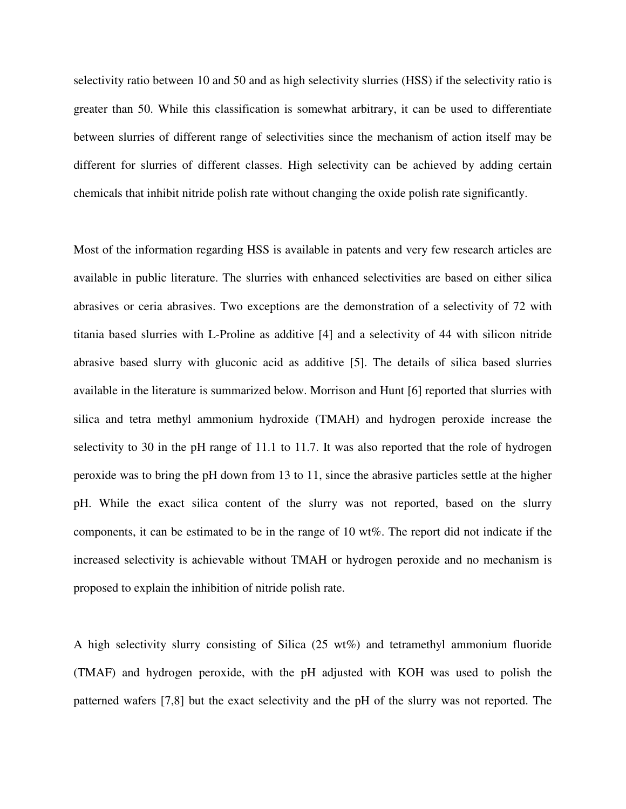selectivity ratio between 10 and 50 and as high selectivity slurries (HSS) if the selectivity ratio is greater than 50. While this classification is somewhat arbitrary, it can be used to differentiate between slurries of different range of selectivities since the mechanism of action itself may be different for slurries of different classes. High selectivity can be achieved by adding certain chemicals that inhibit nitride polish rate without changing the oxide polish rate significantly.

Most of the information regarding HSS is available in patents and very few research articles are available in public literature. The slurries with enhanced selectivities are based on either silica abrasives or ceria abrasives. Two exceptions are the demonstration of a selectivity of 72 with titania based slurries with L-Proline as additive [4] and a selectivity of 44 with silicon nitride abrasive based slurry with gluconic acid as additive [5]. The details of silica based slurries available in the literature is summarized below. Morrison and Hunt [6] reported that slurries with silica and tetra methyl ammonium hydroxide (TMAH) and hydrogen peroxide increase the selectivity to 30 in the pH range of 11.1 to 11.7. It was also reported that the role of hydrogen peroxide was to bring the pH down from 13 to 11, since the abrasive particles settle at the higher pH. While the exact silica content of the slurry was not reported, based on the slurry components, it can be estimated to be in the range of 10 wt%. The report did not indicate if the increased selectivity is achievable without TMAH or hydrogen peroxide and no mechanism is proposed to explain the inhibition of nitride polish rate.

A high selectivity slurry consisting of Silica (25 wt%) and tetramethyl ammonium fluoride (TMAF) and hydrogen peroxide, with the pH adjusted with KOH was used to polish the patterned wafers [7,8] but the exact selectivity and the pH of the slurry was not reported. The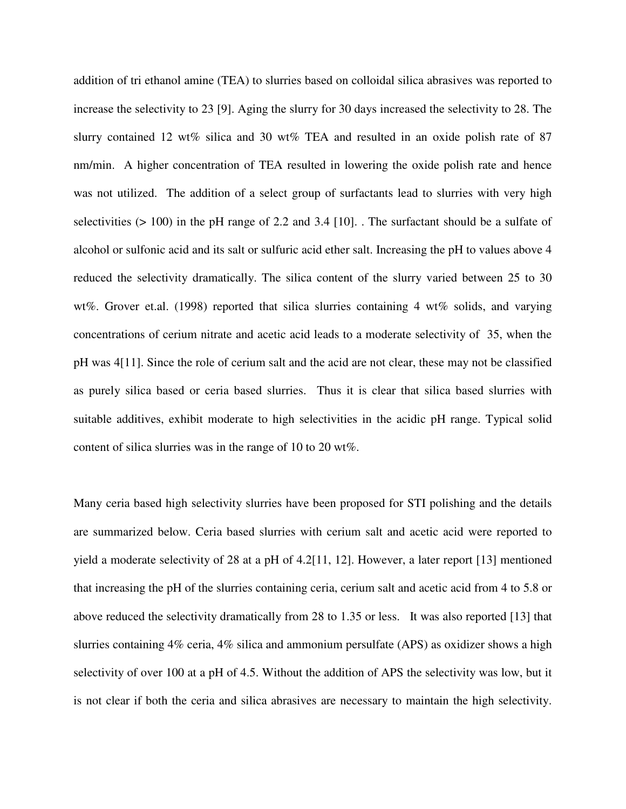addition of tri ethanol amine (TEA) to slurries based on colloidal silica abrasives was reported to increase the selectivity to 23 [9]. Aging the slurry for 30 days increased the selectivity to 28. The slurry contained 12 wt% silica and 30 wt% TEA and resulted in an oxide polish rate of 87 nm/min. A higher concentration of TEA resulted in lowering the oxide polish rate and hence was not utilized. The addition of a select group of surfactants lead to slurries with very high selectivities (> 100) in the pH range of 2.2 and 3.4 [10]. . The surfactant should be a sulfate of alcohol or sulfonic acid and its salt or sulfuric acid ether salt. Increasing the pH to values above 4 reduced the selectivity dramatically. The silica content of the slurry varied between 25 to 30 wt%. Grover et.al. (1998) reported that silica slurries containing 4 wt% solids, and varying concentrations of cerium nitrate and acetic acid leads to a moderate selectivity of 35, when the pH was 4[11]. Since the role of cerium salt and the acid are not clear, these may not be classified as purely silica based or ceria based slurries. Thus it is clear that silica based slurries with suitable additives, exhibit moderate to high selectivities in the acidic pH range. Typical solid content of silica slurries was in the range of 10 to 20 wt%.

Many ceria based high selectivity slurries have been proposed for STI polishing and the details are summarized below. Ceria based slurries with cerium salt and acetic acid were reported to yield a moderate selectivity of 28 at a pH of 4.2[11, 12]. However, a later report [13] mentioned that increasing the pH of the slurries containing ceria, cerium salt and acetic acid from 4 to 5.8 or above reduced the selectivity dramatically from 28 to 1.35 or less. It was also reported [13] that slurries containing 4% ceria, 4% silica and ammonium persulfate (APS) as oxidizer shows a high selectivity of over 100 at a pH of 4.5. Without the addition of APS the selectivity was low, but it is not clear if both the ceria and silica abrasives are necessary to maintain the high selectivity.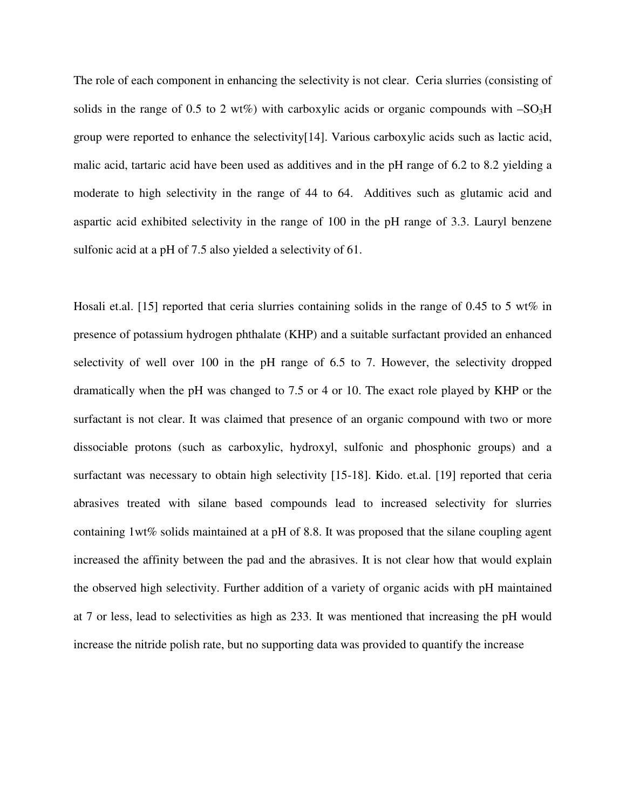The role of each component in enhancing the selectivity is not clear. Ceria slurries (consisting of solids in the range of 0.5 to 2 wt%) with carboxylic acids or organic compounds with  $-SO<sub>3</sub>H$ group were reported to enhance the selectivity[14]. Various carboxylic acids such as lactic acid, malic acid, tartaric acid have been used as additives and in the pH range of 6.2 to 8.2 yielding a moderate to high selectivity in the range of 44 to 64. Additives such as glutamic acid and aspartic acid exhibited selectivity in the range of 100 in the pH range of 3.3. Lauryl benzene sulfonic acid at a pH of 7.5 also yielded a selectivity of 61.

Hosali et.al. [15] reported that ceria slurries containing solids in the range of 0.45 to 5 wt% in presence of potassium hydrogen phthalate (KHP) and a suitable surfactant provided an enhanced selectivity of well over 100 in the pH range of 6.5 to 7. However, the selectivity dropped dramatically when the pH was changed to 7.5 or 4 or 10. The exact role played by KHP or the surfactant is not clear. It was claimed that presence of an organic compound with two or more dissociable protons (such as carboxylic, hydroxyl, sulfonic and phosphonic groups) and a surfactant was necessary to obtain high selectivity [15-18]. Kido. et.al. [19] reported that ceria abrasives treated with silane based compounds lead to increased selectivity for slurries containing 1wt% solids maintained at a pH of 8.8. It was proposed that the silane coupling agent increased the affinity between the pad and the abrasives. It is not clear how that would explain the observed high selectivity. Further addition of a variety of organic acids with pH maintained at 7 or less, lead to selectivities as high as 233. It was mentioned that increasing the pH would increase the nitride polish rate, but no supporting data was provided to quantify the increase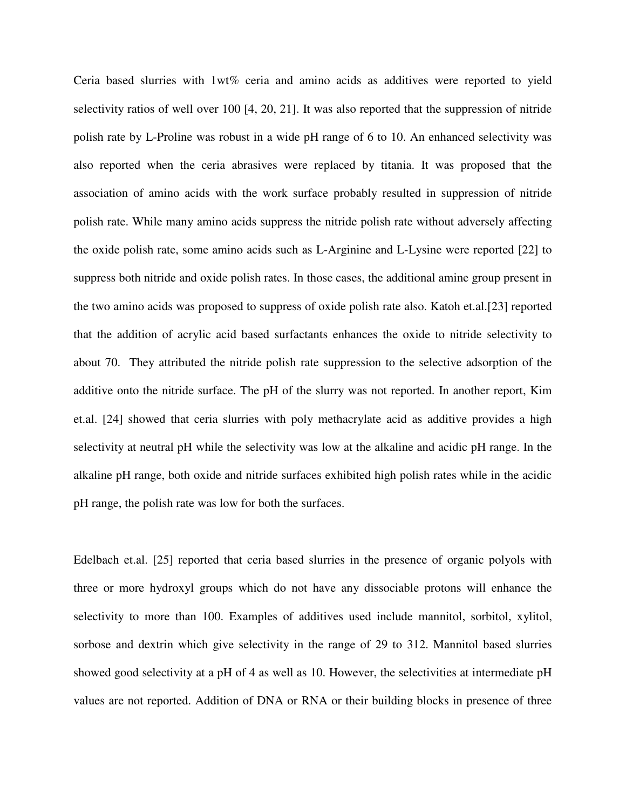Ceria based slurries with 1wt% ceria and amino acids as additives were reported to yield selectivity ratios of well over 100 [4, 20, 21]. It was also reported that the suppression of nitride polish rate by L-Proline was robust in a wide pH range of 6 to 10. An enhanced selectivity was also reported when the ceria abrasives were replaced by titania. It was proposed that the association of amino acids with the work surface probably resulted in suppression of nitride polish rate. While many amino acids suppress the nitride polish rate without adversely affecting the oxide polish rate, some amino acids such as L-Arginine and L-Lysine were reported [22] to suppress both nitride and oxide polish rates. In those cases, the additional amine group present in the two amino acids was proposed to suppress of oxide polish rate also. Katoh et.al.[23] reported that the addition of acrylic acid based surfactants enhances the oxide to nitride selectivity to about 70. They attributed the nitride polish rate suppression to the selective adsorption of the additive onto the nitride surface. The pH of the slurry was not reported. In another report, Kim et.al. [24] showed that ceria slurries with poly methacrylate acid as additive provides a high selectivity at neutral pH while the selectivity was low at the alkaline and acidic pH range. In the alkaline pH range, both oxide and nitride surfaces exhibited high polish rates while in the acidic pH range, the polish rate was low for both the surfaces.

Edelbach et.al. [25] reported that ceria based slurries in the presence of organic polyols with three or more hydroxyl groups which do not have any dissociable protons will enhance the selectivity to more than 100. Examples of additives used include mannitol, sorbitol, xylitol, sorbose and dextrin which give selectivity in the range of 29 to 312. Mannitol based slurries showed good selectivity at a pH of 4 as well as 10. However, the selectivities at intermediate pH values are not reported. Addition of DNA or RNA or their building blocks in presence of three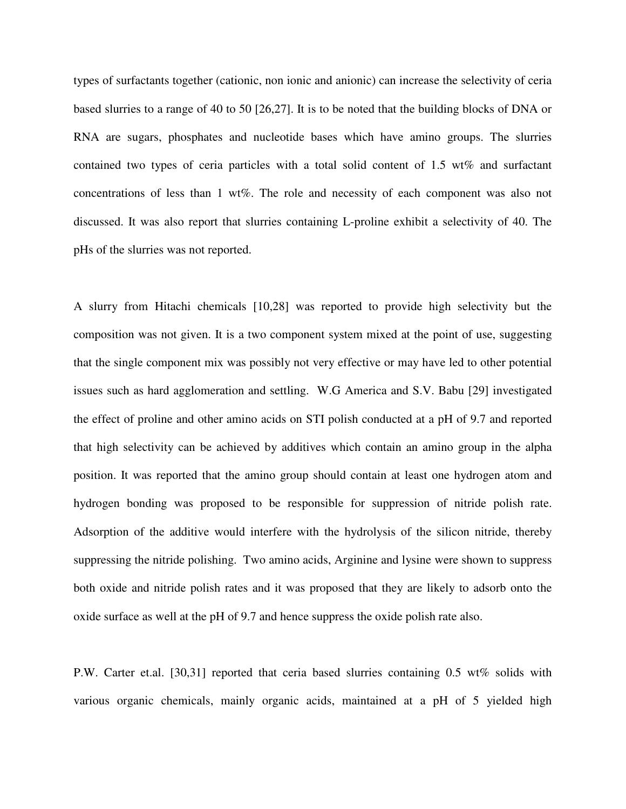types of surfactants together (cationic, non ionic and anionic) can increase the selectivity of ceria based slurries to a range of 40 to 50 [26,27]. It is to be noted that the building blocks of DNA or RNA are sugars, phosphates and nucleotide bases which have amino groups. The slurries contained two types of ceria particles with a total solid content of 1.5 wt% and surfactant concentrations of less than 1 wt%. The role and necessity of each component was also not discussed. It was also report that slurries containing L-proline exhibit a selectivity of 40. The pHs of the slurries was not reported.

A slurry from Hitachi chemicals [10,28] was reported to provide high selectivity but the composition was not given. It is a two component system mixed at the point of use, suggesting that the single component mix was possibly not very effective or may have led to other potential issues such as hard agglomeration and settling. W.G America and S.V. Babu [29] investigated the effect of proline and other amino acids on STI polish conducted at a pH of 9.7 and reported that high selectivity can be achieved by additives which contain an amino group in the alpha position. It was reported that the amino group should contain at least one hydrogen atom and hydrogen bonding was proposed to be responsible for suppression of nitride polish rate. Adsorption of the additive would interfere with the hydrolysis of the silicon nitride, thereby suppressing the nitride polishing. Two amino acids, Arginine and lysine were shown to suppress both oxide and nitride polish rates and it was proposed that they are likely to adsorb onto the oxide surface as well at the pH of 9.7 and hence suppress the oxide polish rate also.

P.W. Carter et.al. [30,31] reported that ceria based slurries containing 0.5 wt% solids with various organic chemicals, mainly organic acids, maintained at a pH of 5 yielded high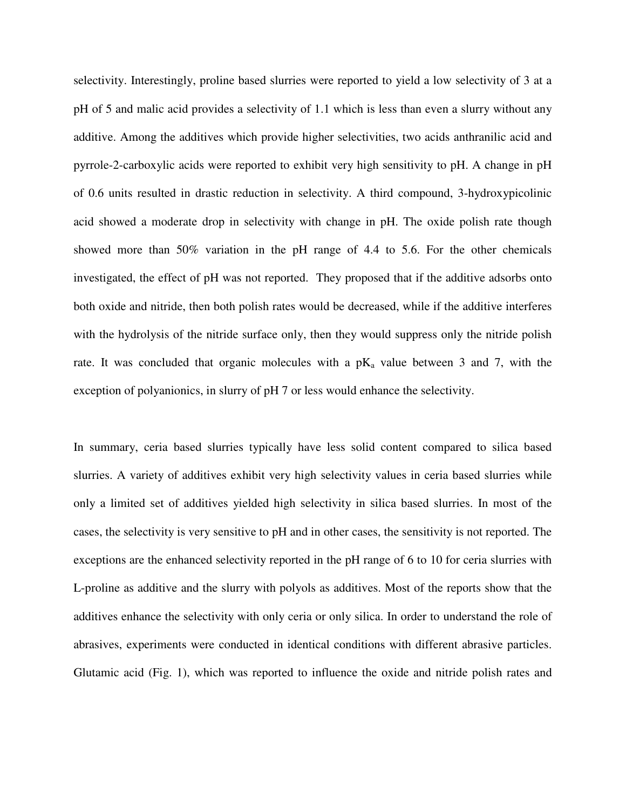selectivity. Interestingly, proline based slurries were reported to yield a low selectivity of 3 at a pH of 5 and malic acid provides a selectivity of 1.1 which is less than even a slurry without any additive. Among the additives which provide higher selectivities, two acids anthranilic acid and pyrrole-2-carboxylic acids were reported to exhibit very high sensitivity to pH. A change in pH of 0.6 units resulted in drastic reduction in selectivity. A third compound, 3-hydroxypicolinic acid showed a moderate drop in selectivity with change in pH. The oxide polish rate though showed more than 50% variation in the pH range of 4.4 to 5.6. For the other chemicals investigated, the effect of pH was not reported. They proposed that if the additive adsorbs onto both oxide and nitride, then both polish rates would be decreased, while if the additive interferes with the hydrolysis of the nitride surface only, then they would suppress only the nitride polish rate. It was concluded that organic molecules with a  $pK_a$  value between 3 and 7, with the exception of polyanionics, in slurry of pH 7 or less would enhance the selectivity.

In summary, ceria based slurries typically have less solid content compared to silica based slurries. A variety of additives exhibit very high selectivity values in ceria based slurries while only a limited set of additives yielded high selectivity in silica based slurries. In most of the cases, the selectivity is very sensitive to pH and in other cases, the sensitivity is not reported. The exceptions are the enhanced selectivity reported in the pH range of 6 to 10 for ceria slurries with L-proline as additive and the slurry with polyols as additives. Most of the reports show that the additives enhance the selectivity with only ceria or only silica. In order to understand the role of abrasives, experiments were conducted in identical conditions with different abrasive particles. Glutamic acid (Fig. 1), which was reported to influence the oxide and nitride polish rates and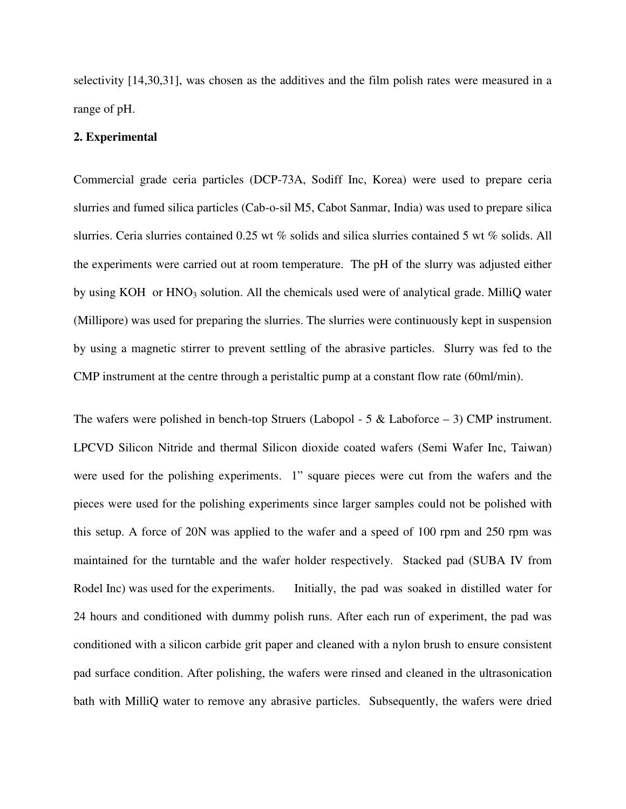selectivity [14,30,31], was chosen as the additives and the film polish rates were measured in a range of pH.

### **2. Experimental**

Commercial grade ceria particles (DCP-73A, Sodiff Inc, Korea) were used to prepare ceria slurries and fumed silica particles (Cab-o-sil M5, Cabot Sanmar, India) was used to prepare silica slurries. Ceria slurries contained 0.25 wt % solids and silica slurries contained 5 wt % solids. All the experiments were carried out at room temperature. The pH of the slurry was adjusted either by using KOH or  $HNO<sub>3</sub>$  solution. All the chemicals used were of analytical grade. MilliQ water (Millipore) was used for preparing the slurries. The slurries were continuously kept in suspension by using a magnetic stirrer to prevent settling of the abrasive particles. Slurry was fed to the CMP instrument at the centre through a peristaltic pump at a constant flow rate (60ml/min).

The wafers were polished in bench-top Struers (Labopol - 5 & Laboforce – 3) CMP instrument. LPCVD Silicon Nitride and thermal Silicon dioxide coated wafers (Semi Wafer Inc, Taiwan) were used for the polishing experiments. 1" square pieces were cut from the wafers and the pieces were used for the polishing experiments since larger samples could not be polished with this setup. A force of 20N was applied to the wafer and a speed of 100 rpm and 250 rpm was maintained for the turntable and the wafer holder respectively. Stacked pad (SUBA IV from Rodel Inc) was used for the experiments. Initially, the pad was soaked in distilled water for 24 hours and conditioned with dummy polish runs. After each run of experiment, the pad was conditioned with a silicon carbide grit paper and cleaned with a nylon brush to ensure consistent pad surface condition. After polishing, the wafers were rinsed and cleaned in the ultrasonication bath with MilliQ water to remove any abrasive particles. Subsequently, the wafers were dried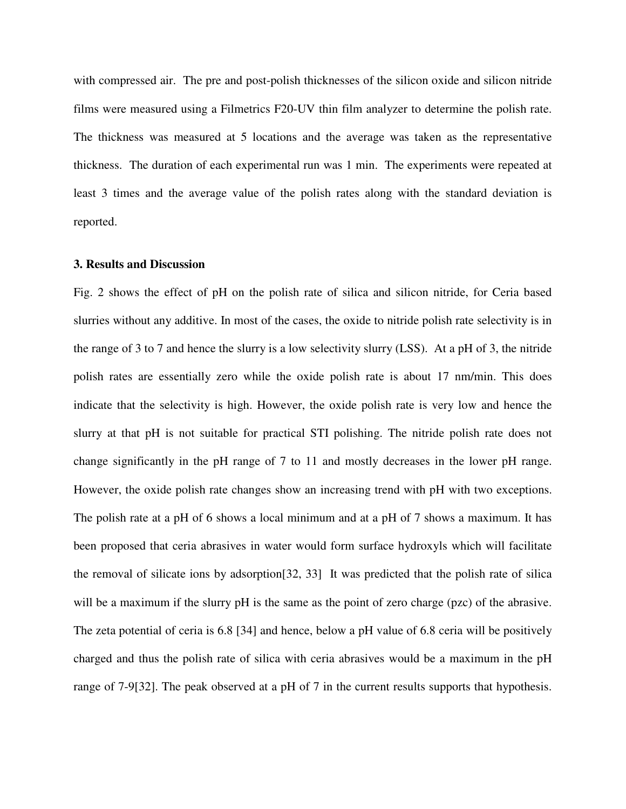with compressed air. The pre and post-polish thicknesses of the silicon oxide and silicon nitride films were measured using a Filmetrics F20-UV thin film analyzer to determine the polish rate. The thickness was measured at 5 locations and the average was taken as the representative thickness. The duration of each experimental run was 1 min. The experiments were repeated at least 3 times and the average value of the polish rates along with the standard deviation is reported.

## **3. Results and Discussion**

Fig. 2 shows the effect of pH on the polish rate of silica and silicon nitride, for Ceria based slurries without any additive. In most of the cases, the oxide to nitride polish rate selectivity is in the range of 3 to 7 and hence the slurry is a low selectivity slurry (LSS). At a pH of 3, the nitride polish rates are essentially zero while the oxide polish rate is about 17 nm/min. This does indicate that the selectivity is high. However, the oxide polish rate is very low and hence the slurry at that pH is not suitable for practical STI polishing. The nitride polish rate does not change significantly in the pH range of 7 to 11 and mostly decreases in the lower pH range. However, the oxide polish rate changes show an increasing trend with pH with two exceptions. The polish rate at a pH of 6 shows a local minimum and at a pH of 7 shows a maximum. It has been proposed that ceria abrasives in water would form surface hydroxyls which will facilitate the removal of silicate ions by adsorption[32, 33] It was predicted that the polish rate of silica will be a maximum if the slurry pH is the same as the point of zero charge (pzc) of the abrasive. The zeta potential of ceria is 6.8 [34] and hence, below a pH value of 6.8 ceria will be positively charged and thus the polish rate of silica with ceria abrasives would be a maximum in the pH range of 7-9[32]. The peak observed at a pH of 7 in the current results supports that hypothesis.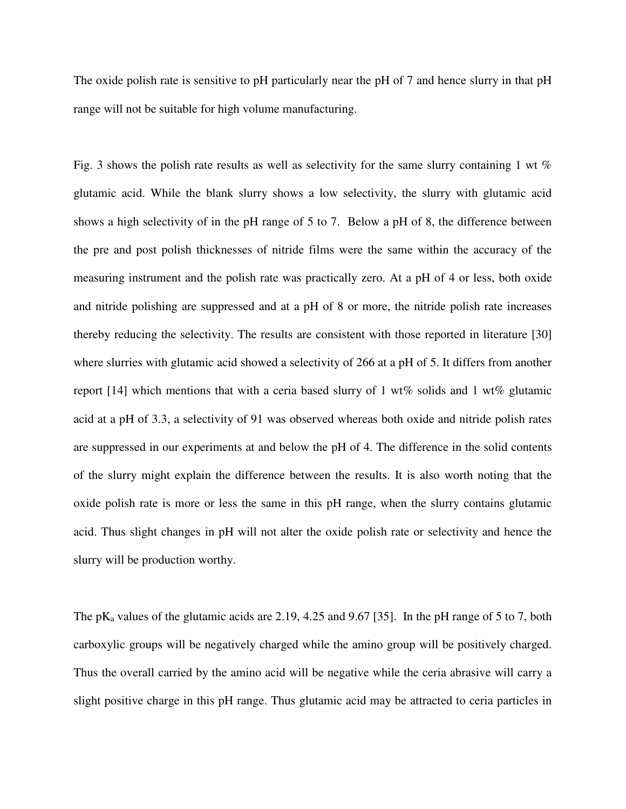The oxide polish rate is sensitive to pH particularly near the pH of 7 and hence slurry in that pH range will not be suitable for high volume manufacturing.

Fig. 3 shows the polish rate results as well as selectivity for the same slurry containing 1 wt  $\%$ glutamic acid. While the blank slurry shows a low selectivity, the slurry with glutamic acid shows a high selectivity of in the pH range of 5 to 7. Below a pH of 8, the difference between the pre and post polish thicknesses of nitride films were the same within the accuracy of the measuring instrument and the polish rate was practically zero. At a pH of 4 or less, both oxide and nitride polishing are suppressed and at a pH of 8 or more, the nitride polish rate increases thereby reducing the selectivity. The results are consistent with those reported in literature [30] where slurries with glutamic acid showed a selectivity of 266 at a pH of 5. It differs from another report [14] which mentions that with a ceria based slurry of 1 wthe solids and 1 wthe glutamic acid at a pH of 3.3, a selectivity of 91 was observed whereas both oxide and nitride polish rates are suppressed in our experiments at and below the pH of 4. The difference in the solid contents of the slurry might explain the difference between the results. It is also worth noting that the oxide polish rate is more or less the same in this pH range, when the slurry contains glutamic acid. Thus slight changes in pH will not alter the oxide polish rate or selectivity and hence the slurry will be production worthy.

The  $pK_a$  values of the glutamic acids are 2.19, 4.25 and 9.67 [35]. In the pH range of 5 to 7, both carboxylic groups will be negatively charged while the amino group will be positively charged. Thus the overall carried by the amino acid will be negative while the ceria abrasive will carry a slight positive charge in this pH range. Thus glutamic acid may be attracted to ceria particles in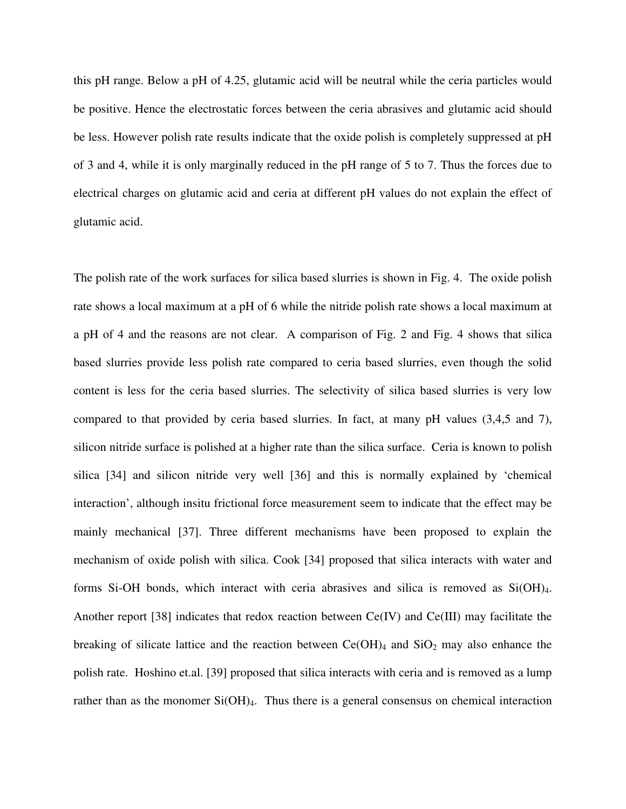this pH range. Below a pH of 4.25, glutamic acid will be neutral while the ceria particles would be positive. Hence the electrostatic forces between the ceria abrasives and glutamic acid should be less. However polish rate results indicate that the oxide polish is completely suppressed at pH of 3 and 4, while it is only marginally reduced in the pH range of 5 to 7. Thus the forces due to electrical charges on glutamic acid and ceria at different pH values do not explain the effect of glutamic acid.

The polish rate of the work surfaces for silica based slurries is shown in Fig. 4. The oxide polish rate shows a local maximum at a pH of 6 while the nitride polish rate shows a local maximum at a pH of 4 and the reasons are not clear. A comparison of Fig. 2 and Fig. 4 shows that silica based slurries provide less polish rate compared to ceria based slurries, even though the solid content is less for the ceria based slurries. The selectivity of silica based slurries is very low compared to that provided by ceria based slurries. In fact, at many pH values (3,4,5 and 7), silicon nitride surface is polished at a higher rate than the silica surface. Ceria is known to polish silica [34] and silicon nitride very well [36] and this is normally explained by 'chemical interaction', although insitu frictional force measurement seem to indicate that the effect may be mainly mechanical [37]. Three different mechanisms have been proposed to explain the mechanism of oxide polish with silica. Cook [34] proposed that silica interacts with water and forms Si-OH bonds, which interact with ceria abrasives and silica is removed as  $Si(OH)<sub>4</sub>$ . Another report [38] indicates that redox reaction between Ce(IV) and Ce(III) may facilitate the breaking of silicate lattice and the reaction between  $Ce(OH)_4$  and  $SiO_2$  may also enhance the polish rate. Hoshino et.al. [39] proposed that silica interacts with ceria and is removed as a lump rather than as the monomer  $Si(OH)<sub>4</sub>$ . Thus there is a general consensus on chemical interaction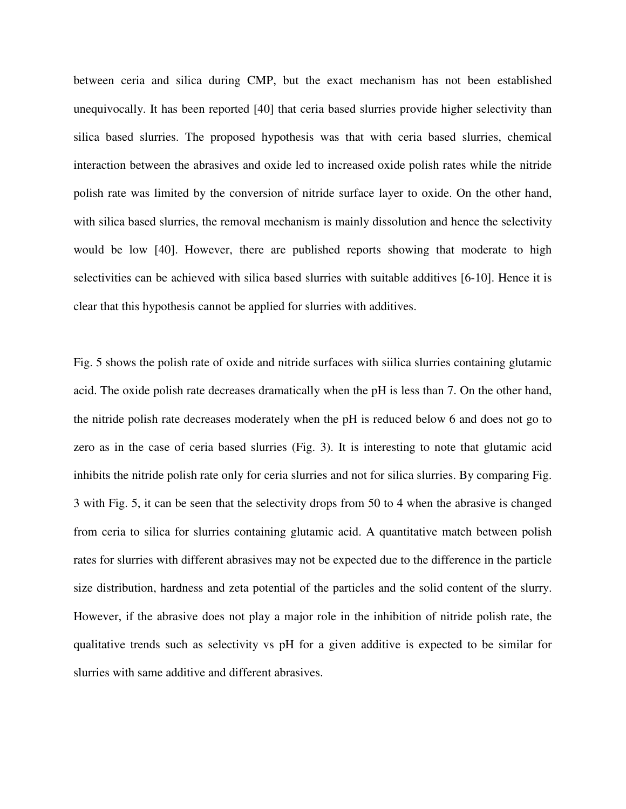between ceria and silica during CMP, but the exact mechanism has not been established unequivocally. It has been reported [40] that ceria based slurries provide higher selectivity than silica based slurries. The proposed hypothesis was that with ceria based slurries, chemical interaction between the abrasives and oxide led to increased oxide polish rates while the nitride polish rate was limited by the conversion of nitride surface layer to oxide. On the other hand, with silica based slurries, the removal mechanism is mainly dissolution and hence the selectivity would be low [40]. However, there are published reports showing that moderate to high selectivities can be achieved with silica based slurries with suitable additives [6-10]. Hence it is clear that this hypothesis cannot be applied for slurries with additives.

Fig. 5 shows the polish rate of oxide and nitride surfaces with siilica slurries containing glutamic acid. The oxide polish rate decreases dramatically when the pH is less than 7. On the other hand, the nitride polish rate decreases moderately when the pH is reduced below 6 and does not go to zero as in the case of ceria based slurries (Fig. 3). It is interesting to note that glutamic acid inhibits the nitride polish rate only for ceria slurries and not for silica slurries. By comparing Fig. 3 with Fig. 5, it can be seen that the selectivity drops from 50 to 4 when the abrasive is changed from ceria to silica for slurries containing glutamic acid. A quantitative match between polish rates for slurries with different abrasives may not be expected due to the difference in the particle size distribution, hardness and zeta potential of the particles and the solid content of the slurry. However, if the abrasive does not play a major role in the inhibition of nitride polish rate, the qualitative trends such as selectivity vs pH for a given additive is expected to be similar for slurries with same additive and different abrasives.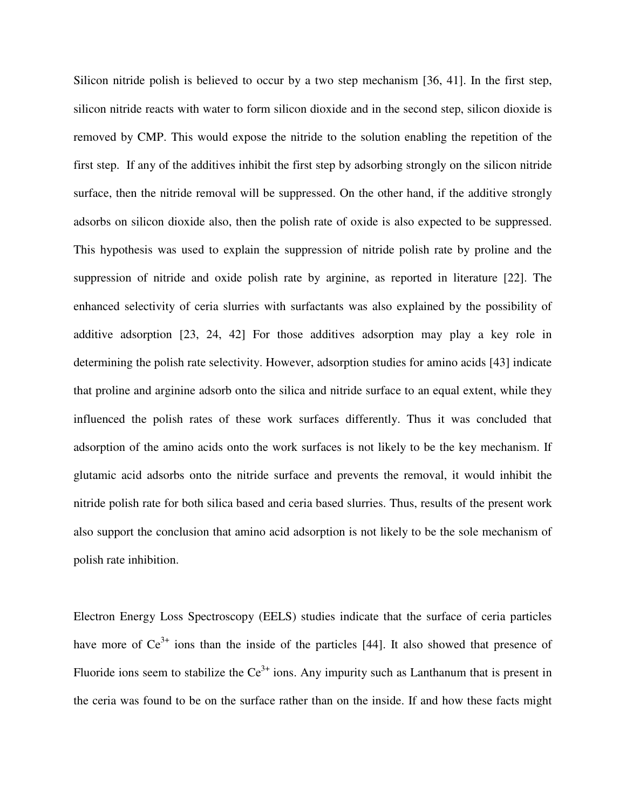Silicon nitride polish is believed to occur by a two step mechanism [36, 41]. In the first step, silicon nitride reacts with water to form silicon dioxide and in the second step, silicon dioxide is removed by CMP. This would expose the nitride to the solution enabling the repetition of the first step. If any of the additives inhibit the first step by adsorbing strongly on the silicon nitride surface, then the nitride removal will be suppressed. On the other hand, if the additive strongly adsorbs on silicon dioxide also, then the polish rate of oxide is also expected to be suppressed. This hypothesis was used to explain the suppression of nitride polish rate by proline and the suppression of nitride and oxide polish rate by arginine, as reported in literature [22]. The enhanced selectivity of ceria slurries with surfactants was also explained by the possibility of additive adsorption [23, 24, 42] For those additives adsorption may play a key role in determining the polish rate selectivity. However, adsorption studies for amino acids [43] indicate that proline and arginine adsorb onto the silica and nitride surface to an equal extent, while they influenced the polish rates of these work surfaces differently. Thus it was concluded that adsorption of the amino acids onto the work surfaces is not likely to be the key mechanism. If glutamic acid adsorbs onto the nitride surface and prevents the removal, it would inhibit the nitride polish rate for both silica based and ceria based slurries. Thus, results of the present work also support the conclusion that amino acid adsorption is not likely to be the sole mechanism of polish rate inhibition.

Electron Energy Loss Spectroscopy (EELS) studies indicate that the surface of ceria particles have more of  $Ce^{3+}$  ions than the inside of the particles [44]. It also showed that presence of Fluoride ions seem to stabilize the  $Ce^{3+}$  ions. Any impurity such as Lanthanum that is present in the ceria was found to be on the surface rather than on the inside. If and how these facts might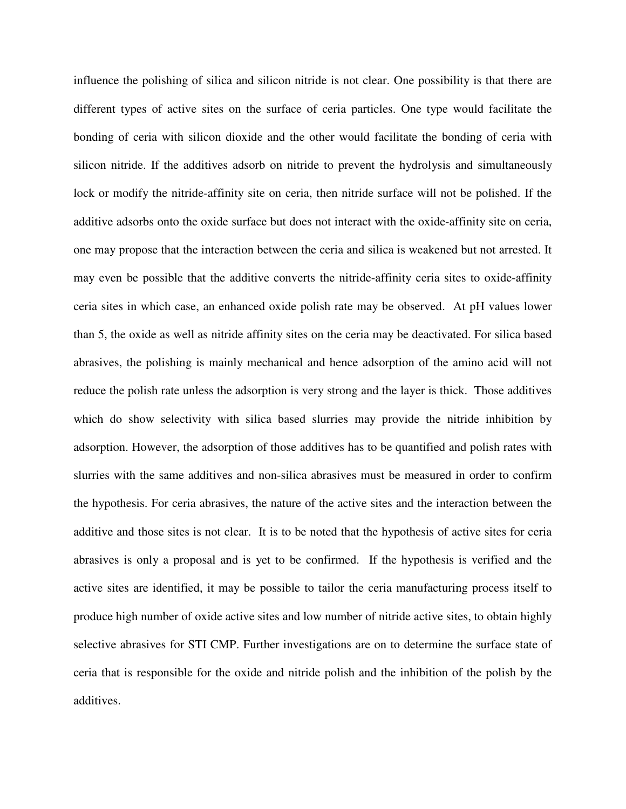influence the polishing of silica and silicon nitride is not clear. One possibility is that there are different types of active sites on the surface of ceria particles. One type would facilitate the bonding of ceria with silicon dioxide and the other would facilitate the bonding of ceria with silicon nitride. If the additives adsorb on nitride to prevent the hydrolysis and simultaneously lock or modify the nitride-affinity site on ceria, then nitride surface will not be polished. If the additive adsorbs onto the oxide surface but does not interact with the oxide-affinity site on ceria, one may propose that the interaction between the ceria and silica is weakened but not arrested. It may even be possible that the additive converts the nitride-affinity ceria sites to oxide-affinity ceria sites in which case, an enhanced oxide polish rate may be observed. At pH values lower than 5, the oxide as well as nitride affinity sites on the ceria may be deactivated. For silica based abrasives, the polishing is mainly mechanical and hence adsorption of the amino acid will not reduce the polish rate unless the adsorption is very strong and the layer is thick. Those additives which do show selectivity with silica based slurries may provide the nitride inhibition by adsorption. However, the adsorption of those additives has to be quantified and polish rates with slurries with the same additives and non-silica abrasives must be measured in order to confirm the hypothesis. For ceria abrasives, the nature of the active sites and the interaction between the additive and those sites is not clear. It is to be noted that the hypothesis of active sites for ceria abrasives is only a proposal and is yet to be confirmed. If the hypothesis is verified and the active sites are identified, it may be possible to tailor the ceria manufacturing process itself to produce high number of oxide active sites and low number of nitride active sites, to obtain highly selective abrasives for STI CMP. Further investigations are on to determine the surface state of ceria that is responsible for the oxide and nitride polish and the inhibition of the polish by the additives.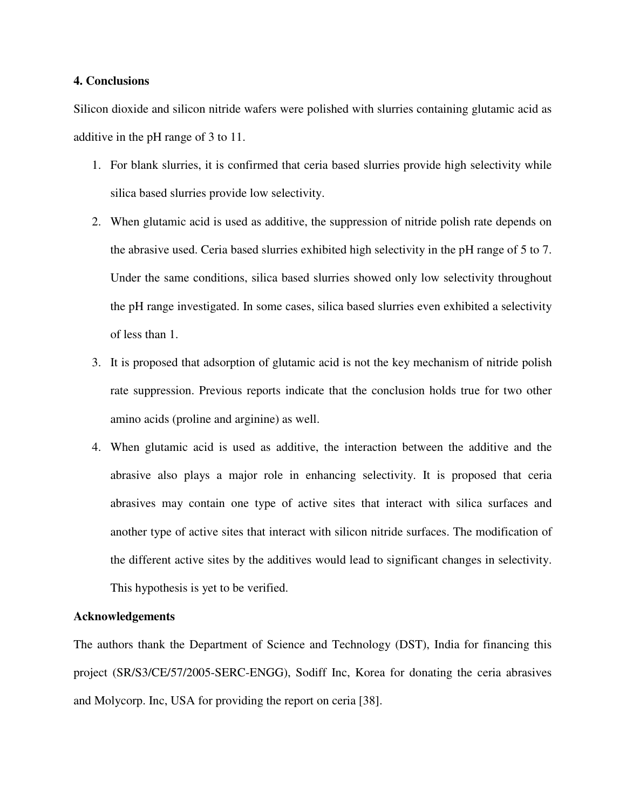#### **4. Conclusions**

Silicon dioxide and silicon nitride wafers were polished with slurries containing glutamic acid as additive in the pH range of 3 to 11.

- 1. For blank slurries, it is confirmed that ceria based slurries provide high selectivity while silica based slurries provide low selectivity.
- 2. When glutamic acid is used as additive, the suppression of nitride polish rate depends on the abrasive used. Ceria based slurries exhibited high selectivity in the pH range of 5 to 7. Under the same conditions, silica based slurries showed only low selectivity throughout the pH range investigated. In some cases, silica based slurries even exhibited a selectivity of less than 1.
- 3. It is proposed that adsorption of glutamic acid is not the key mechanism of nitride polish rate suppression. Previous reports indicate that the conclusion holds true for two other amino acids (proline and arginine) as well.
- 4. When glutamic acid is used as additive, the interaction between the additive and the abrasive also plays a major role in enhancing selectivity. It is proposed that ceria abrasives may contain one type of active sites that interact with silica surfaces and another type of active sites that interact with silicon nitride surfaces. The modification of the different active sites by the additives would lead to significant changes in selectivity. This hypothesis is yet to be verified.

### **Acknowledgements**

The authors thank the Department of Science and Technology (DST), India for financing this project (SR/S3/CE/57/2005-SERC-ENGG), Sodiff Inc, Korea for donating the ceria abrasives and Molycorp. Inc, USA for providing the report on ceria [38].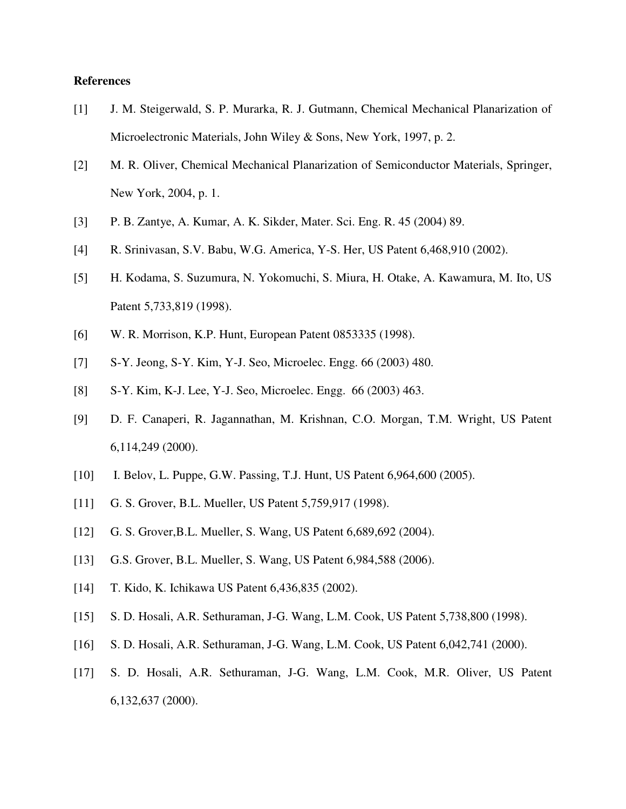#### **References**

- [1] J. M. Steigerwald, S. P. Murarka, R. J. Gutmann, Chemical Mechanical Planarization of Microelectronic Materials, John Wiley & Sons, New York, 1997, p. 2.
- [2] M. R. Oliver, Chemical Mechanical Planarization of Semiconductor Materials, Springer, New York, 2004, p. 1.
- [3] P. B. Zantye, A. Kumar, A. K. Sikder, Mater. Sci. Eng. R. 45 (2004) 89.
- [4] R. Srinivasan, S.V. Babu, W.G. America, Y-S. Her, US Patent 6,468,910 (2002).
- [5] H. Kodama, S. Suzumura, N. Yokomuchi, S. Miura, H. Otake, A. Kawamura, M. Ito, US Patent 5,733,819 (1998).
- [6] W. R. Morrison, K.P. Hunt, European Patent 0853335 (1998).
- [7] S-Y. Jeong, S-Y. Kim, Y-J. Seo, Microelec. Engg. 66 (2003) 480.
- [8] S-Y. Kim, K-J. Lee, Y-J. Seo, Microelec. Engg. 66 (2003) 463.
- [9] D. F. Canaperi, R. Jagannathan, M. Krishnan, C.O. Morgan, T.M. Wright, US Patent 6,114,249 (2000).
- [10] I. Belov, L. Puppe, G.W. Passing, T.J. Hunt, US Patent 6,964,600 (2005).
- [11] G. S. Grover, B.L. Mueller, US Patent 5,759,917 (1998).
- [12] G. S. Grover, B.L. Mueller, S. Wang, US Patent 6, 689, 692 (2004).
- [13] G.S. Grover, B.L. Mueller, S. Wang, US Patent 6,984,588 (2006).
- [14] T. Kido, K. Ichikawa US Patent 6,436,835 (2002).
- [15] S. D. Hosali, A.R. Sethuraman, J-G. Wang, L.M. Cook, US Patent 5,738,800 (1998).
- [16] S. D. Hosali, A.R. Sethuraman, J-G. Wang, L.M. Cook, US Patent 6,042,741 (2000).
- [17] S. D. Hosali, A.R. Sethuraman, J-G. Wang, L.M. Cook, M.R. Oliver, US Patent 6,132,637 (2000).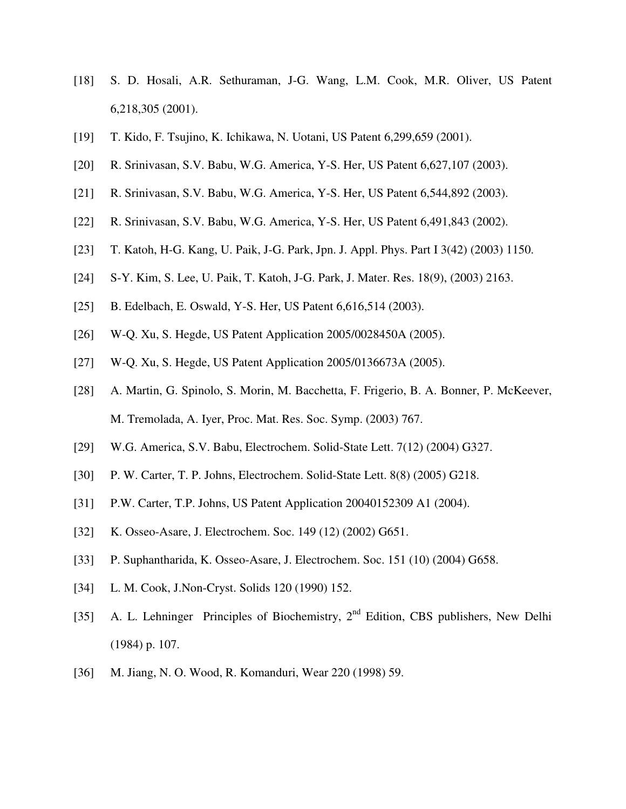- [18] S. D. Hosali, A.R. Sethuraman, J-G. Wang, L.M. Cook, M.R. Oliver, US Patent 6,218,305 (2001).
- [19] T. Kido, F. Tsujino, K. Ichikawa, N. Uotani, US Patent 6,299,659 (2001).
- [20] R. Srinivasan, S.V. Babu, W.G. America, Y-S. Her, US Patent 6,627,107 (2003).
- [21] R. Srinivasan, S.V. Babu, W.G. America, Y-S. Her, US Patent 6,544,892 (2003).
- [22] R. Srinivasan, S.V. Babu, W.G. America, Y-S. Her, US Patent 6,491,843 (2002).
- [23] T. Katoh, H-G. Kang, U. Paik, J-G. Park, Jpn. J. Appl. Phys. Part I 3(42) (2003) 1150.
- [24] S-Y. Kim, S. Lee, U. Paik, T. Katoh, J-G. Park, J. Mater. Res. 18(9), (2003) 2163.
- [25] B. Edelbach, E. Oswald, Y-S. Her, US Patent 6,616,514 (2003).
- [26] W-Q. Xu, S. Hegde, US Patent Application 2005/0028450A (2005).
- [27] W-Q. Xu, S. Hegde, US Patent Application 2005/0136673A (2005).
- [28] A. Martin, G. Spinolo, S. Morin, M. Bacchetta, F. Frigerio, B. A. Bonner, P. McKeever, M. Tremolada, A. Iyer, Proc. Mat. Res. Soc. Symp. (2003) 767.
- [29] W.G. America, S.V. Babu, Electrochem. Solid-State Lett. 7(12) (2004) G327.
- [30] P. W. Carter, T. P. Johns, Electrochem. Solid-State Lett. 8(8) (2005) G218.
- [31] P.W. Carter, T.P. Johns, US Patent Application 20040152309 A1 (2004).
- [32] K. Osseo-Asare, J. Electrochem. Soc. 149 (12) (2002) G651.
- [33] P. Suphantharida, K. Osseo-Asare, J. Electrochem. Soc. 151 (10) (2004) G658.
- [34] L. M. Cook, J. Non-Cryst. Solids 120 (1990) 152.
- [35] A. L. Lehninger Principles of Biochemistry, 2<sup>nd</sup> Edition, CBS publishers, New Delhi (1984) p. 107.
- [36] M. Jiang, N. O. Wood, R. Komanduri, Wear 220 (1998) 59.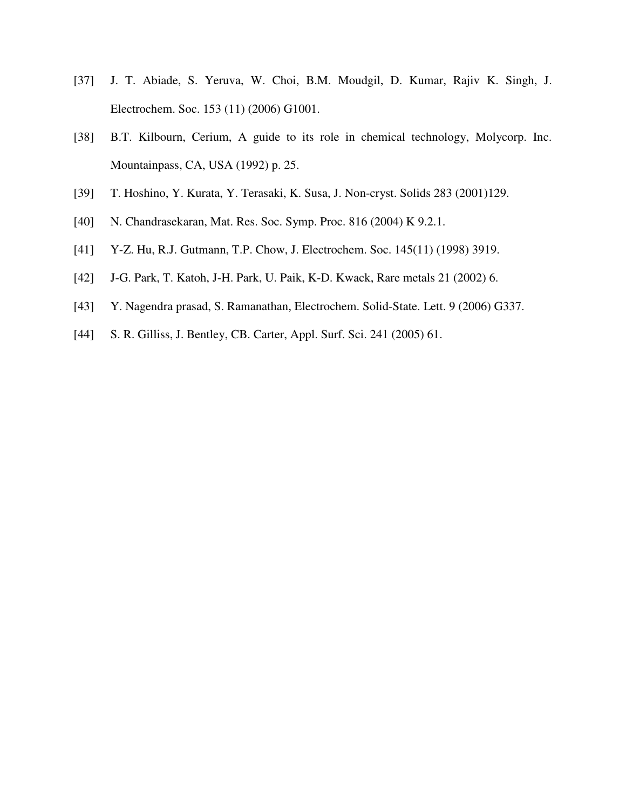- [37] J. T. Abiade, S. Yeruva, W. Choi, B.M. Moudgil, D. Kumar, Rajiv K. Singh, J. Electrochem. Soc. 153 (11) (2006) G1001.
- [38] B.T. Kilbourn, Cerium, A guide to its role in chemical technology, Molycorp. Inc. Mountainpass, CA, USA (1992) p. 25.
- [39] T. Hoshino, Y. Kurata, Y. Terasaki, K. Susa, J. Non-cryst. Solids 283 (2001)129.
- [40] N. Chandrasekaran, Mat. Res. Soc. Symp. Proc. 816 (2004) K 9.2.1.
- [41] Y-Z. Hu, R.J. Gutmann, T.P. Chow, J. Electrochem. Soc. 145(11) (1998) 3919.
- [42] J-G. Park, T. Katoh, J-H. Park, U. Paik, K-D. Kwack, Rare metals 21 (2002) 6.
- [43] Y. Nagendra prasad, S. Ramanathan, Electrochem. Solid-State. Lett. 9 (2006) G337.
- [44] S. R. Gilliss, J. Bentley, CB. Carter, Appl. Surf. Sci. 241 (2005) 61.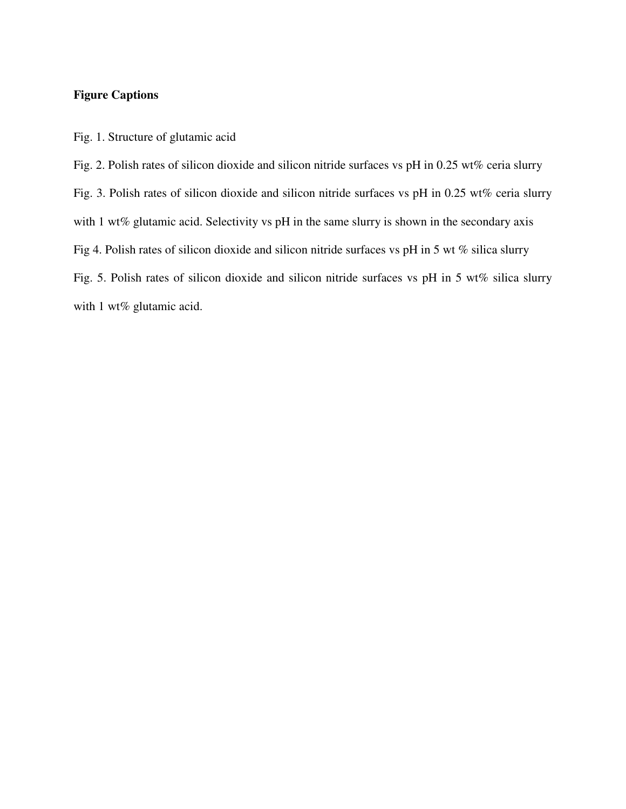## **Figure Captions**

Fig. 1. Structure of glutamic acid

Fig. 2. Polish rates of silicon dioxide and silicon nitride surfaces vs pH in 0.25 wt% ceria slurry Fig. 3. Polish rates of silicon dioxide and silicon nitride surfaces vs pH in 0.25 wt% ceria slurry with 1 wt% glutamic acid. Selectivity vs pH in the same slurry is shown in the secondary axis Fig 4. Polish rates of silicon dioxide and silicon nitride surfaces vs pH in 5 wt % silica slurry Fig. 5. Polish rates of silicon dioxide and silicon nitride surfaces vs pH in 5 wt% silica slurry with 1 wt% glutamic acid.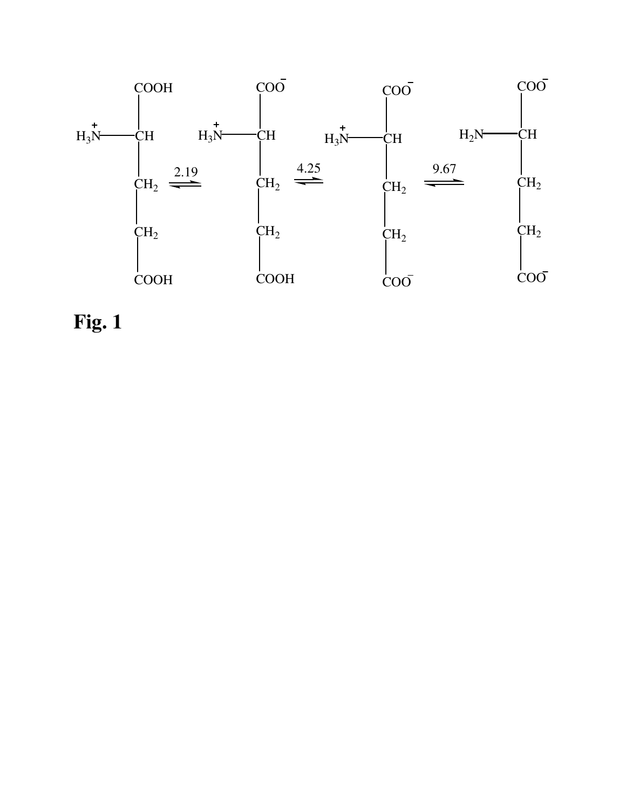

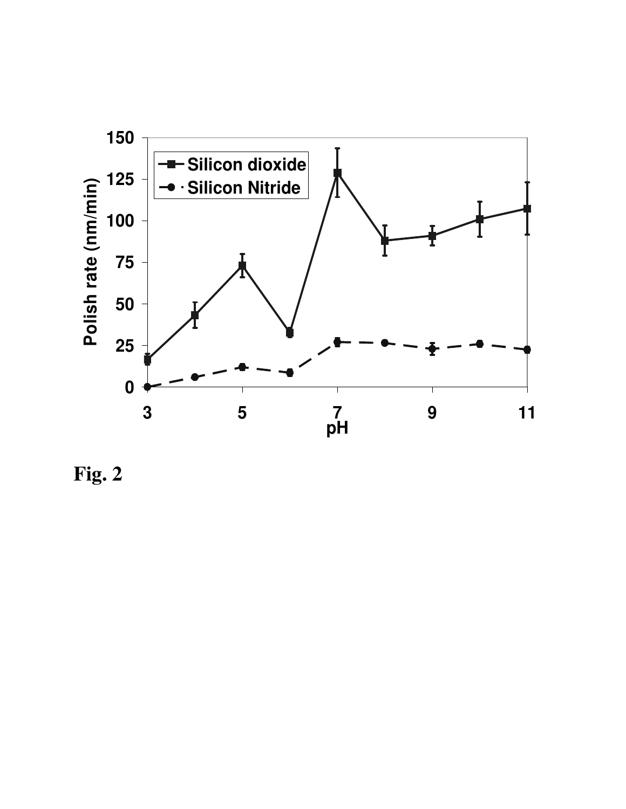

**Fig. 2**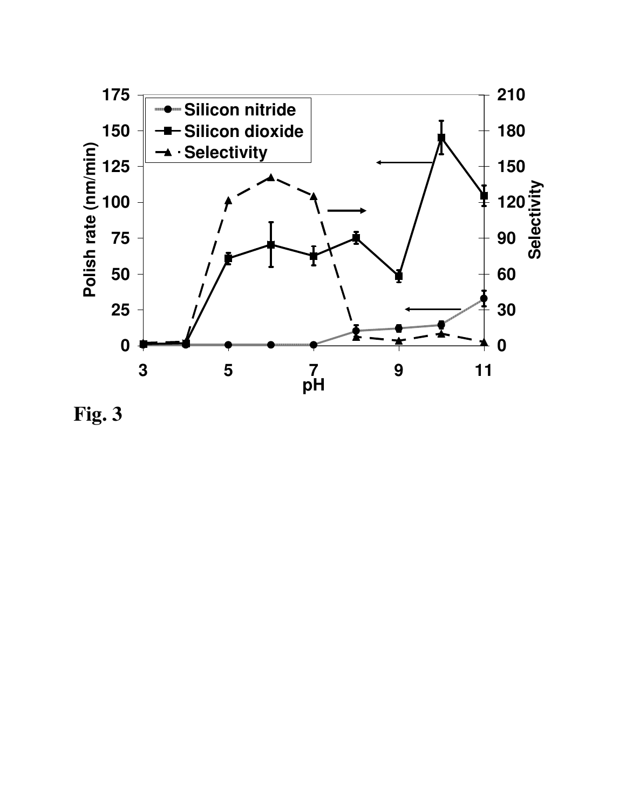

**Fig. 3**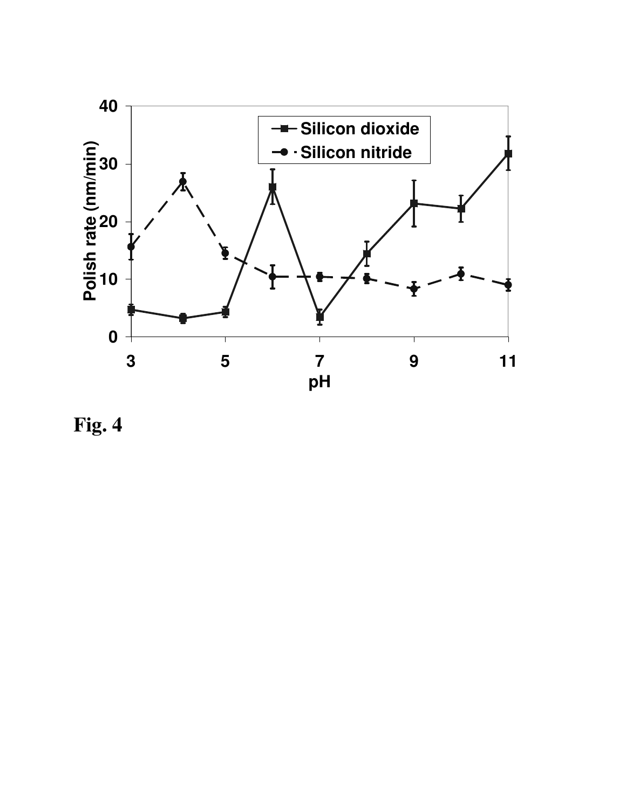

**Fig. 4**